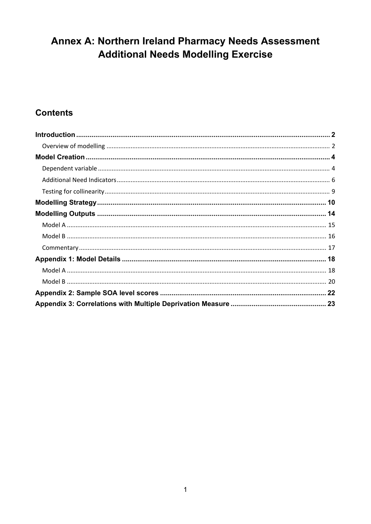# Annex A: Northern Ireland Pharmacy Needs Assessment **Additional Needs Modelling Exercise**

## **Contents**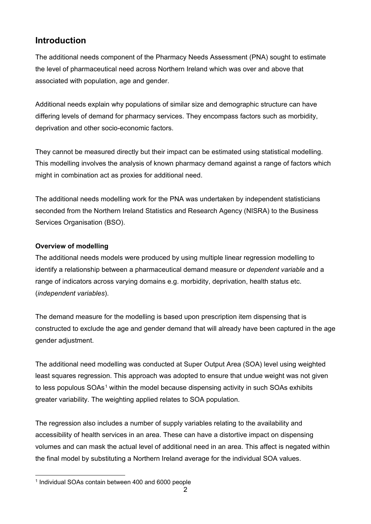## <span id="page-1-0"></span>**Introduction**

The additional needs component of the Pharmacy Needs Assessment (PNA) sought to estimate the level of pharmaceutical need across Northern Ireland which was over and above that associated with population, age and gender.

Additional needs explain why populations of similar size and demographic structure can have differing levels of demand for pharmacy services. They encompass factors such as morbidity, deprivation and other socio-economic factors.

They cannot be measured directly but their impact can be estimated using statistical modelling. This modelling involves the analysis of known pharmacy demand against a range of factors which might in combination act as proxies for additional need.

The additional needs modelling work for the PNA was undertaken by independent statisticians seconded from the Northern Ireland Statistics and Research Agency (NISRA) to the Business Services Organisation (BSO).

### <span id="page-1-1"></span>**Overview of modelling**

The additional needs models were produced by using multiple linear regression modelling to identify a relationship between a pharmaceutical demand measure or *dependent variable* and a range of indicators across varying domains e.g. morbidity, deprivation, health status etc. (*independent variables*).

The demand measure for the modelling is based upon prescription item dispensing that is constructed to exclude the age and gender demand that will already have been captured in the age gender adjustment.

The additional need modelling was conducted at Super Output Area (SOA) level using weighted least squares regression. This approach was adopted to ensure that undue weight was not given to less populous SOAs<sup>[1](#page-1-2)</sup> within the model because dispensing activity in such SOAs exhibits greater variability. The weighting applied relates to SOA population.

The regression also includes a number of supply variables relating to the availability and accessibility of health services in an area. These can have a distortive impact on dispensing volumes and can mask the actual level of additional need in an area. This affect is negated within the final model by substituting a Northern Ireland average for the individual SOA values.

<span id="page-1-2"></span>l <sup>1</sup> Individual SOAs contain between 400 and 6000 people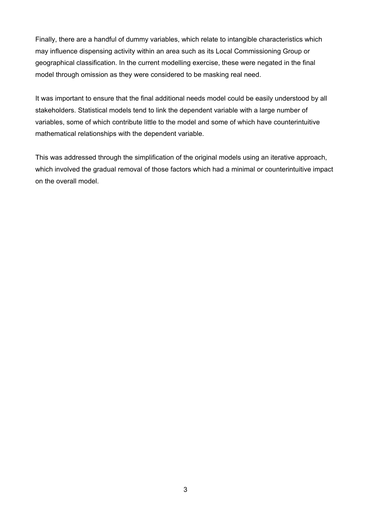Finally, there are a handful of dummy variables, which relate to intangible characteristics which may influence dispensing activity within an area such as its Local Commissioning Group or geographical classification. In the current modelling exercise, these were negated in the final model through omission as they were considered to be masking real need.

It was important to ensure that the final additional needs model could be easily understood by all stakeholders. Statistical models tend to link the dependent variable with a large number of variables, some of which contribute little to the model and some of which have counterintuitive mathematical relationships with the dependent variable.

This was addressed through the simplification of the original models using an iterative approach, which involved the gradual removal of those factors which had a minimal or counterintuitive impact on the overall model.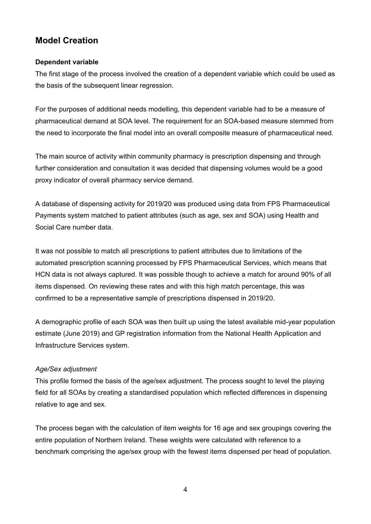## <span id="page-3-0"></span>**Model Creation**

#### <span id="page-3-1"></span>**Dependent variable**

The first stage of the process involved the creation of a dependent variable which could be used as the basis of the subsequent linear regression.

For the purposes of additional needs modelling, this dependent variable had to be a measure of pharmaceutical demand at SOA level. The requirement for an SOA-based measure stemmed from the need to incorporate the final model into an overall composite measure of pharmaceutical need.

The main source of activity within community pharmacy is prescription dispensing and through further consideration and consultation it was decided that dispensing volumes would be a good proxy indicator of overall pharmacy service demand.

A database of dispensing activity for 2019/20 was produced using data from FPS Pharmaceutical Payments system matched to patient attributes (such as age, sex and SOA) using Health and Social Care number data.

It was not possible to match all prescriptions to patient attributes due to limitations of the automated prescription scanning processed by FPS Pharmaceutical Services, which means that HCN data is not always captured. It was possible though to achieve a match for around 90% of all items dispensed. On reviewing these rates and with this high match percentage, this was confirmed to be a representative sample of prescriptions dispensed in 2019/20.

A demographic profile of each SOA was then built up using the latest available mid-year population estimate (June 2019) and GP registration information from the National Health Application and Infrastructure Services system.

#### *Age/Sex adjustment*

This profile formed the basis of the age/sex adjustment. The process sought to level the playing field for all SOAs by creating a standardised population which reflected differences in dispensing relative to age and sex.

The process began with the calculation of item weights for 16 age and sex groupings covering the entire population of Northern Ireland. These weights were calculated with reference to a benchmark comprising the age/sex group with the fewest items dispensed per head of population.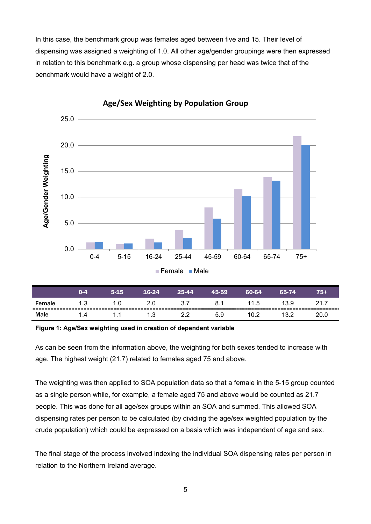In this case, the benchmark group was females aged between five and 15. Their level of dispensing was assigned a weighting of 1.0. All other age/gender groupings were then expressed in relation to this benchmark e.g. a group whose dispensing per head was twice that of the benchmark would have a weight of 2.0.



**Age/Sex Weighting by Population Group**

|             | 0-4 | $5-15$ | 16-24 | 25-44 | 45-59 | 60-64 | 65-74 | 75+  |
|-------------|-----|--------|-------|-------|-------|-------|-------|------|
| Female      | 1.3 |        |       |       |       | 11.5  | 13.9  |      |
| <b>Male</b> | 14  |        | 1.3   |       | 5.9   | 10.2  | 13.2  | 20.0 |

#### **Figure 1: Age/Sex weighting used in creation of dependent variable**

As can be seen from the information above, the weighting for both sexes tended to increase with age. The highest weight (21.7) related to females aged 75 and above.

The weighting was then applied to SOA population data so that a female in the 5-15 group counted as a single person while, for example, a female aged 75 and above would be counted as 21.7 people. This was done for all age/sex groups within an SOA and summed. This allowed SOA dispensing rates per person to be calculated (by dividing the age/sex weighted population by the crude population) which could be expressed on a basis which was independent of age and sex.

The final stage of the process involved indexing the individual SOA dispensing rates per person in relation to the Northern Ireland average.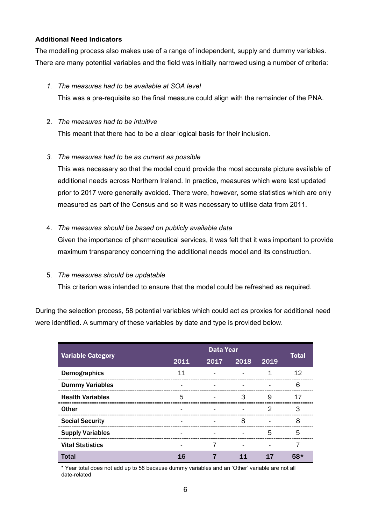#### <span id="page-5-0"></span>**Additional Need Indicators**

The modelling process also makes use of a range of independent, supply and dummy variables. There are many potential variables and the field was initially narrowed using a number of criteria:

#### *1. The measures had to be available at SOA level*

This was a pre-requisite so the final measure could align with the remainder of the PNA.

#### 2. *The measures had to be intuitive*

This meant that there had to be a clear logical basis for their inclusion.

#### *3. The measures had to be as current as possible*

This was necessary so that the model could provide the most accurate picture available of additional needs across Northern Ireland. In practice, measures which were last updated prior to 2017 were generally avoided. There were, however, some statistics which are only measured as part of the Census and so it was necessary to utilise data from 2011.

#### 4. *The measures should be based on publicly available data*

Given the importance of pharmaceutical services, it was felt that it was important to provide maximum transparency concerning the additional needs model and its construction.

#### 5. *The measures should be updatable*

This criterion was intended to ensure that the model could be refreshed as required.

During the selection process, 58 potential variables which could act as proxies for additional need were identified. A summary of these variables by date and type is provided below.

|                          | <b>Data Year</b> |      |      |      |              |
|--------------------------|------------------|------|------|------|--------------|
| <b>Variable Category</b> | 2011             | 2017 | 2018 | 2019 | <b>Total</b> |
| <b>Demographics</b>      | 11               |      |      | 1    | 12           |
| <b>Dummy Variables</b>   |                  |      |      |      | 6            |
| <b>Health Variables</b>  | 5                |      | З    | 9    | 17           |
| <b>Other</b>             |                  |      |      | 2    | 3            |
| <b>Social Security</b>   |                  |      | 8    |      | 8            |
| <b>Supply Variables</b>  |                  |      |      | 5    | 5            |
| <b>Vital Statistics</b>  |                  | 7    |      |      | 7            |
| <b>Total</b>             | 16               |      | 11   | 17   | $58*$        |

\* Year total does not add up to 58 because dummy variables and an 'Other' variable are not all date-related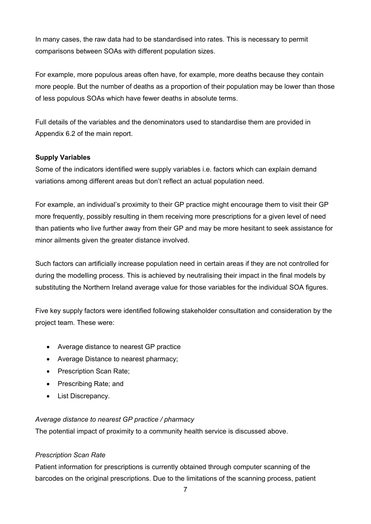In many cases, the raw data had to be standardised into rates. This is necessary to permit comparisons between SOAs with different population sizes.

For example, more populous areas often have, for example, more deaths because they contain more people. But the number of deaths as a proportion of their population may be lower than those of less populous SOAs which have fewer deaths in absolute terms.

Full details of the variables and the denominators used to standardise them are provided in Appendix 6.2 of the main report.

#### **Supply Variables**

Some of the indicators identified were supply variables i.e. factors which can explain demand variations among different areas but don't reflect an actual population need.

For example, an individual's proximity to their GP practice might encourage them to visit their GP more frequently, possibly resulting in them receiving more prescriptions for a given level of need than patients who live further away from their GP and may be more hesitant to seek assistance for minor ailments given the greater distance involved.

Such factors can artificially increase population need in certain areas if they are not controlled for during the modelling process. This is achieved by neutralising their impact in the final models by substituting the Northern Ireland average value for those variables for the individual SOA figures.

Five key supply factors were identified following stakeholder consultation and consideration by the project team. These were:

- Average distance to nearest GP practice
- Average Distance to nearest pharmacy;
- Prescription Scan Rate;
- Prescribing Rate; and
- List Discrepancy.

#### *Average distance to nearest GP practice / pharmacy*

The potential impact of proximity to a community health service is discussed above.

#### *Prescription Scan Rate*

Patient information for prescriptions is currently obtained through computer scanning of the barcodes on the original prescriptions. Due to the limitations of the scanning process, patient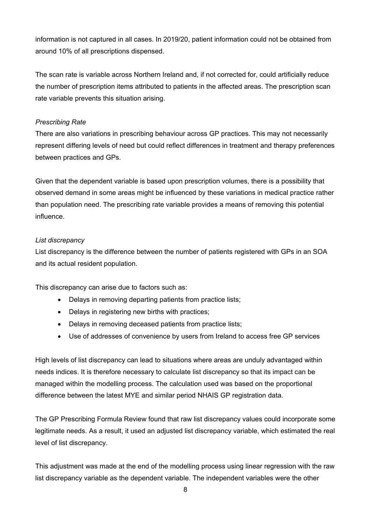information is not captured in all cases. In 2019/20, patient information could not be obtained from around 10% of all prescriptions dispensed.

The scan rate is variable across Northern Ireland and, if not corrected for, could artificially reduce the number of prescription items attributed to patients in the affected areas. The prescription scan rate variable prevents this situation arising.

#### *Prescribing Rate*

There are also variations in prescribing behaviour across GP practices. This may not necessarily represent differing levels of need but could reflect differences in treatment and therapy preferences between practices and GPs.

Given that the dependent variable is based upon prescription volumes, there is a possibility that observed demand in some areas might be influenced by these variations in medical practice rather than population need. The prescribing rate variable provides a means of removing this potential influence.

#### *List discrepancy*

List discrepancy is the difference between the number of patients registered with GPs in an SOA and its actual resident population.

This discrepancy can arise due to factors such as:

- Delays in removing departing patients from practice lists;
- Delays in registering new births with practices;
- Delays in removing deceased patients from practice lists;
- Use of addresses of convenience by users from Ireland to access free GP services

High levels of list discrepancy can lead to situations where areas are unduly advantaged within needs indices. It is therefore necessary to calculate list discrepancy so that its impact can be managed within the modelling process. The calculation used was based on the proportional difference between the latest MYE and similar period NHAIS GP registration data.

The GP Prescribing Formula Review found that raw list discrepancy values could incorporate some legitimate needs. As a result, it used an adjusted list discrepancy variable, which estimated the real level of list discrepancy.

This adjustment was made at the end of the modelling process using linear regression with the raw list discrepancy variable as the dependent variable. The independent variables were the other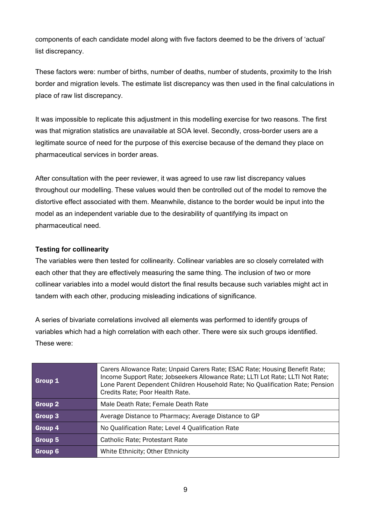components of each candidate model along with five factors deemed to be the drivers of 'actual' list discrepancy.

These factors were: number of births, number of deaths, number of students, proximity to the Irish border and migration levels. The estimate list discrepancy was then used in the final calculations in place of raw list discrepancy.

It was impossible to replicate this adjustment in this modelling exercise for two reasons. The first was that migration statistics are unavailable at SOA level. Secondly, cross-border users are a legitimate source of need for the purpose of this exercise because of the demand they place on pharmaceutical services in border areas.

After consultation with the peer reviewer, it was agreed to use raw list discrepancy values throughout our modelling. These values would then be controlled out of the model to remove the distortive effect associated with them. Meanwhile, distance to the border would be input into the model as an independent variable due to the desirability of quantifying its impact on pharmaceutical need.

#### <span id="page-8-0"></span>**Testing for collinearity**

The variables were then tested for collinearity. Collinear variables are so closely correlated with each other that they are effectively measuring the same thing. The inclusion of two or more collinear variables into a model would distort the final results because such variables might act in tandem with each other, producing misleading indications of significance.

A series of bivariate correlations involved all elements was performed to identify groups of variables which had a high correlation with each other. There were six such groups identified. These were:

| Group 1 | Carers Allowance Rate; Unpaid Carers Rate; ESAC Rate; Housing Benefit Rate;<br>Income Support Rate; Jobseekers Allowance Rate; LLTI Lot Rate; LLTI Not Rate;<br>Lone Parent Dependent Children Household Rate; No Qualification Rate; Pension<br>Credits Rate; Poor Health Rate. |
|---------|----------------------------------------------------------------------------------------------------------------------------------------------------------------------------------------------------------------------------------------------------------------------------------|
| Group 2 | Male Death Rate; Female Death Rate                                                                                                                                                                                                                                               |
| Group 3 | Average Distance to Pharmacy; Average Distance to GP                                                                                                                                                                                                                             |
| Group 4 | No Qualification Rate; Level 4 Qualification Rate                                                                                                                                                                                                                                |
| Group 5 | Catholic Rate; Protestant Rate                                                                                                                                                                                                                                                   |
| Group 6 | White Ethnicity; Other Ethnicity                                                                                                                                                                                                                                                 |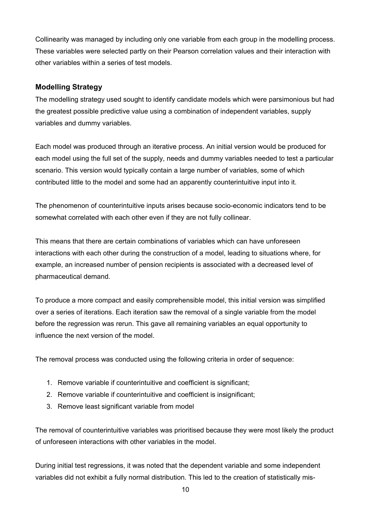Collinearity was managed by including only one variable from each group in the modelling process. These variables were selected partly on their Pearson correlation values and their interaction with other variables within a series of test models.

### <span id="page-9-0"></span>**Modelling Strategy**

The modelling strategy used sought to identify candidate models which were parsimonious but had the greatest possible predictive value using a combination of independent variables, supply variables and dummy variables.

Each model was produced through an iterative process. An initial version would be produced for each model using the full set of the supply, needs and dummy variables needed to test a particular scenario. This version would typically contain a large number of variables, some of which contributed little to the model and some had an apparently counterintuitive input into it.

The phenomenon of counterintuitive inputs arises because socio-economic indicators tend to be somewhat correlated with each other even if they are not fully collinear.

This means that there are certain combinations of variables which can have unforeseen interactions with each other during the construction of a model, leading to situations where, for example, an increased number of pension recipients is associated with a decreased level of pharmaceutical demand.

To produce a more compact and easily comprehensible model, this initial version was simplified over a series of iterations. Each iteration saw the removal of a single variable from the model before the regression was rerun. This gave all remaining variables an equal opportunity to influence the next version of the model.

The removal process was conducted using the following criteria in order of sequence:

- 1. Remove variable if counterintuitive and coefficient is significant;
- 2. Remove variable if counterintuitive and coefficient is insignificant;
- 3. Remove least significant variable from model

The removal of counterintuitive variables was prioritised because they were most likely the product of unforeseen interactions with other variables in the model.

During initial test regressions, it was noted that the dependent variable and some independent variables did not exhibit a fully normal distribution. This led to the creation of statistically mis-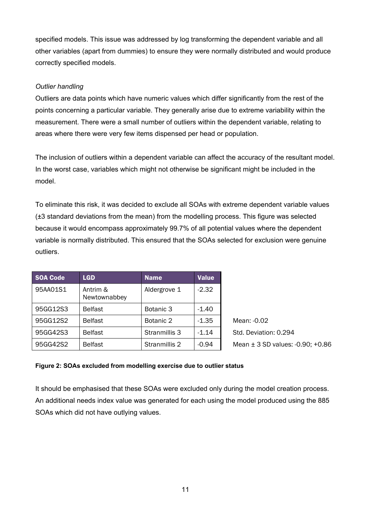specified models. This issue was addressed by log transforming the dependent variable and all other variables (apart from dummies) to ensure they were normally distributed and would produce correctly specified models.

#### *Outlier handling*

Outliers are data points which have numeric values which differ significantly from the rest of the points concerning a particular variable. They generally arise due to extreme variability within the measurement. There were a small number of outliers within the dependent variable, relating to areas where there were very few items dispensed per head or population.

The inclusion of outliers within a dependent variable can affect the accuracy of the resultant model. In the worst case, variables which might not otherwise be significant might be included in the model.

To eliminate this risk, it was decided to exclude all SOAs with extreme dependent variable values (±3 standard deviations from the mean) from the modelling process. This figure was selected because it would encompass approximately 99.7% of all potential values where the dependent variable is normally distributed. This ensured that the SOAs selected for exclusion were genuine outliers.

| <b>SOA Code</b> | <b>LGD</b>               | <b>Name</b>   | <b>Value</b> |
|-----------------|--------------------------|---------------|--------------|
| 95AA01S1        | Antrim &<br>Newtownabbey | Aldergrove 1  | $-2.32$      |
| 95GG12S3        | <b>Belfast</b>           | Botanic 3     | $-1.40$      |
| 95GG12S2        | <b>Belfast</b>           | Botanic 2     | $-1.35$      |
| 95GG42S3        | <b>Belfast</b>           | Stranmillis 3 | $-1.14$      |
| 95GG42S2        | <b>Belfast</b>           | Stranmillis 2 | $-0.94$      |

Mean: -0.02 Std. Deviation: 0.294 Mean ± 3 SD values: -0.90; +0.86

#### **Figure 2: SOAs excluded from modelling exercise due to outlier status**

It should be emphasised that these SOAs were excluded only during the model creation process. An additional needs index value was generated for each using the model produced using the 885 SOAs which did not have outlying values.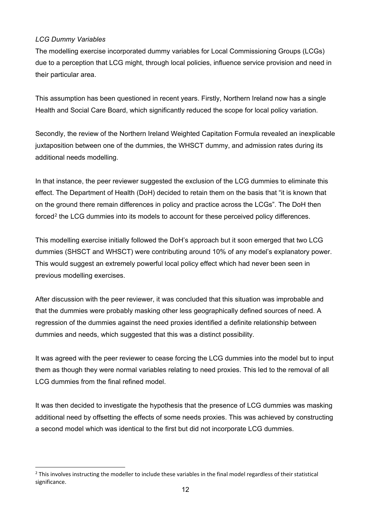#### *LCG Dummy Variables*

 $\overline{a}$ 

The modelling exercise incorporated dummy variables for Local Commissioning Groups (LCGs) due to a perception that LCG might, through local policies, influence service provision and need in their particular area.

This assumption has been questioned in recent years. Firstly, Northern Ireland now has a single Health and Social Care Board, which significantly reduced the scope for local policy variation.

Secondly, the review of the Northern Ireland Weighted Capitation Formula revealed an inexplicable juxtaposition between one of the dummies, the WHSCT dummy, and admission rates during its additional needs modelling.

In that instance, the peer reviewer suggested the exclusion of the LCG dummies to eliminate this effect. The Department of Health (DoH) decided to retain them on the basis that "it is known that on the ground there remain differences in policy and practice across the LCGs". The DoH then forced<sup>[2](#page-11-0)</sup> the LCG dummies into its models to account for these perceived policy differences.

This modelling exercise initially followed the DoH's approach but it soon emerged that two LCG dummies (SHSCT and WHSCT) were contributing around 10% of any model's explanatory power. This would suggest an extremely powerful local policy effect which had never been seen in previous modelling exercises.

After discussion with the peer reviewer, it was concluded that this situation was improbable and that the dummies were probably masking other less geographically defined sources of need. A regression of the dummies against the need proxies identified a definite relationship between dummies and needs, which suggested that this was a distinct possibility.

It was agreed with the peer reviewer to cease forcing the LCG dummies into the model but to input them as though they were normal variables relating to need proxies. This led to the removal of all LCG dummies from the final refined model.

It was then decided to investigate the hypothesis that the presence of LCG dummies was masking additional need by offsetting the effects of some needs proxies. This was achieved by constructing a second model which was identical to the first but did not incorporate LCG dummies.

<span id="page-11-0"></span> $2$  This involves instructing the modeller to include these variables in the final model regardless of their statistical significance.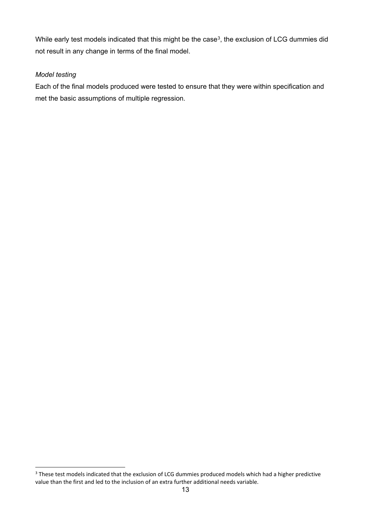While early test models indicated that this might be the case<sup>[3](#page-12-0)</sup>, the exclusion of LCG dummies did not result in any change in terms of the final model.

#### *Model testing*

 $\overline{a}$ 

Each of the final models produced were tested to ensure that they were within specification and met the basic assumptions of multiple regression.

<span id="page-12-0"></span><sup>&</sup>lt;sup>3</sup> These test models indicated that the exclusion of LCG dummies produced models which had a higher predictive value than the first and led to the inclusion of an extra further additional needs variable.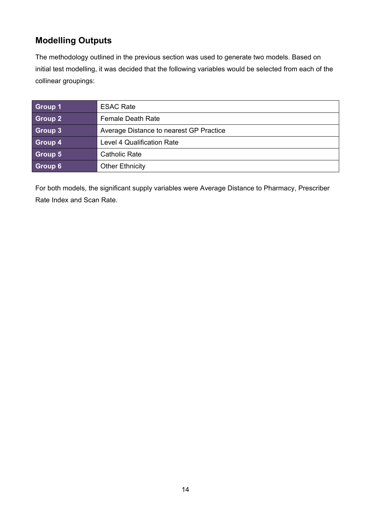## <span id="page-13-0"></span>**Modelling Outputs**

The methodology outlined in the previous section was used to generate two models. Based on initial test modelling, it was decided that the following variables would be selected from each of the collinear groupings:

| Group 1 | <b>ESAC Rate</b>                        |
|---------|-----------------------------------------|
| Group 2 | <b>Female Death Rate</b>                |
| Group 3 | Average Distance to nearest GP Practice |
| Group 4 | <b>Level 4 Qualification Rate</b>       |
| Group 5 | <b>Catholic Rate</b>                    |
| Group 6 | <b>Other Ethnicity</b>                  |

For both models, the significant supply variables were Average Distance to Pharmacy, Prescriber Rate Index and Scan Rate.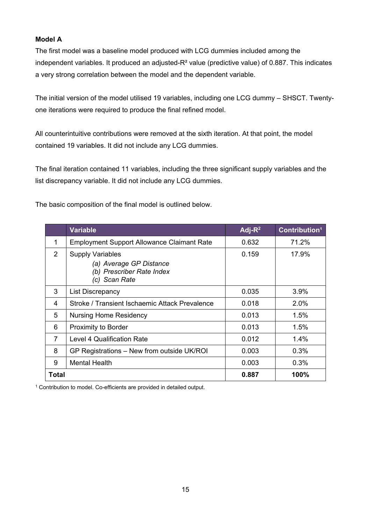#### <span id="page-14-0"></span>**Model A**

The first model was a baseline model produced with LCG dummies included among the independent variables. It produced an adjusted-R<sup>2</sup> value (predictive value) of 0.887. This indicates a very strong correlation between the model and the dependent variable.

The initial version of the model utilised 19 variables, including one LCG dummy – SHSCT. Twentyone iterations were required to produce the final refined model.

All counterintuitive contributions were removed at the sixth iteration. At that point, the model contained 19 variables. It did not include any LCG dummies.

The final iteration contained 11 variables, including the three significant supply variables and the list discrepancy variable. It did not include any LCG dummies.

The basic composition of the final model is outlined below.

|               | <b>Variable</b>                                                                                  | Adj- $R^2$ | Contribution <sup>1</sup> |
|---------------|--------------------------------------------------------------------------------------------------|------------|---------------------------|
| 1             | <b>Employment Support Allowance Claimant Rate</b>                                                | 0.632      | 71.2%                     |
| $\mathcal{P}$ | <b>Supply Variables</b><br>(a) Average GP Distance<br>(b) Prescriber Rate Index<br>(c) Scan Rate | 0.159      | 17.9%                     |
| 3             | <b>List Discrepancy</b>                                                                          | 0.035      | 3.9%                      |
| 4             | Stroke / Transient Ischaemic Attack Prevalence                                                   | 0.018      | 2.0%                      |
| 5             | <b>Nursing Home Residency</b>                                                                    | 0.013      | 1.5%                      |
| 6             | <b>Proximity to Border</b>                                                                       | 0.013      | 1.5%                      |
| 7             | <b>Level 4 Qualification Rate</b>                                                                | 0.012      | 1.4%                      |
| 8             | GP Registrations – New from outside UK/ROI                                                       | 0.003      | 0.3%                      |
| 9             | <b>Mental Health</b>                                                                             | 0.003      | 0.3%                      |
| Total         |                                                                                                  | 0.887      | 100%                      |

<sup>1</sup> Contribution to model. Co-efficients are provided in detailed output.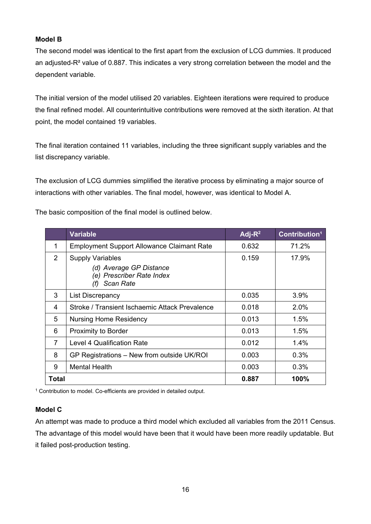#### <span id="page-15-0"></span>**Model B**

The second model was identical to the first apart from the exclusion of LCG dummies. It produced an adjusted-R² value of 0.887. This indicates a very strong correlation between the model and the dependent variable.

The initial version of the model utilised 20 variables. Eighteen iterations were required to produce the final refined model. All counterintuitive contributions were removed at the sixth iteration. At that point, the model contained 19 variables.

The final iteration contained 11 variables, including the three significant supply variables and the list discrepancy variable.

The exclusion of LCG dummies simplified the iterative process by eliminating a major source of interactions with other variables. The final model, however, was identical to Model A.

The basic composition of the final model is outlined below.

|       | <b>Variable</b>                                                                                            | Adj- $R^2$ | Contribution <sup>1</sup> |
|-------|------------------------------------------------------------------------------------------------------------|------------|---------------------------|
| 1     | <b>Employment Support Allowance Claimant Rate</b>                                                          | 0.632      | 71.2%                     |
| 2     | <b>Supply Variables</b><br>(d) Average GP Distance<br>(e) Prescriber Rate Index<br><b>Scan Rate</b><br>(f) | 0.159      | 17.9%                     |
| 3     | List Discrepancy                                                                                           | 0.035      | $3.9\%$                   |
| 4     | Stroke / Transient Ischaemic Attack Prevalence                                                             | 0.018      | 2.0%                      |
| 5     | <b>Nursing Home Residency</b>                                                                              | 0.013      | 1.5%                      |
| 6     | <b>Proximity to Border</b>                                                                                 | 0.013      | 1.5%                      |
| 7     | <b>Level 4 Qualification Rate</b>                                                                          | 0.012      | 1.4%                      |
| 8     | GP Registrations - New from outside UK/ROI                                                                 | 0.003      | 0.3%                      |
| 9     | <b>Mental Health</b>                                                                                       | 0.003      | 0.3%                      |
| Total |                                                                                                            | 0.887      | 100%                      |

<sup>1</sup> Contribution to model. Co-efficients are provided in detailed output.

#### **Model C**

An attempt was made to produce a third model which excluded all variables from the 2011 Census. The advantage of this model would have been that it would have been more readily updatable. But it failed post-production testing.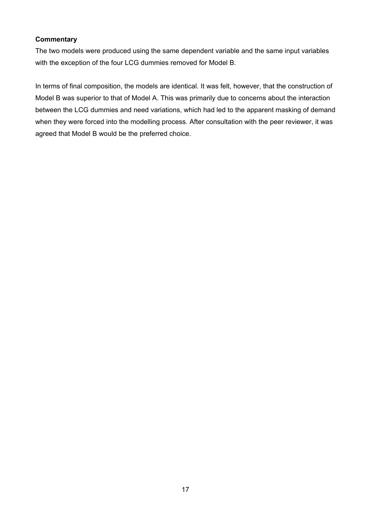#### <span id="page-16-0"></span>**Commentary**

The two models were produced using the same dependent variable and the same input variables with the exception of the four LCG dummies removed for Model B.

In terms of final composition, the models are identical. It was felt, however, that the construction of Model B was superior to that of Model A. This was primarily due to concerns about the interaction between the LCG dummies and need variations, which had led to the apparent masking of demand when they were forced into the modelling process. After consultation with the peer reviewer, it was agreed that Model B would be the preferred choice.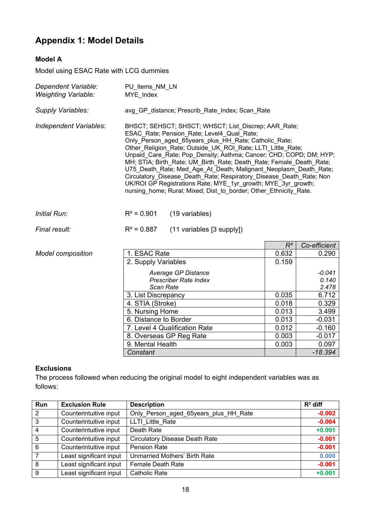# <span id="page-17-0"></span>**Appendix 1: Model Details**

### <span id="page-17-1"></span>**Model A**

Model using ESAC Rate with LCG dummies

| Dependent Variable:<br><b>Weighting Variable:</b> | PU Items NM LN<br>MYE Index |                                                                                                                                                                                                                                                                                                                                                                                                                                                                                                                                                                                                                                                          |       |              |
|---------------------------------------------------|-----------------------------|----------------------------------------------------------------------------------------------------------------------------------------------------------------------------------------------------------------------------------------------------------------------------------------------------------------------------------------------------------------------------------------------------------------------------------------------------------------------------------------------------------------------------------------------------------------------------------------------------------------------------------------------------------|-------|--------------|
| Supply Variables:                                 |                             | avg GP_distance; Prescrib_Rate_Index; Scan_Rate                                                                                                                                                                                                                                                                                                                                                                                                                                                                                                                                                                                                          |       |              |
| Independent Variables:                            |                             | BHSCT; SEHSCT; SHSCT; WHSCT; List Discrep; AAR Rate;<br>ESAC Rate; Pension Rate; Level4 Qual Rate;<br>Only Person aged 65years plus HH Rate; Catholic Rate;<br>Other Religion Rate; Outside UK ROI Rate; LLTI Little Rate;<br>Unpaid Care Rate; Pop Density; Asthma; Cancer; CHD; COPD; DM; HYP;<br>MH; STIA; Birth Rate; UM Birth Rate; Death Rate; Female Death Rate;<br>U75 Death Rate; Med Age At Death; Malignant Neoplasm Death Rate;<br>Circulatory Disease Death Rate; Respiratory Disease Death Rate; Non<br>UK/ROI GP Registrations Rate; MYE_1yr_growth; MYE_3yr_growth;<br>nursing home; Rural; Mixed; Dist to border; Other Ethnicity Rate. |       |              |
| Initial Run:                                      | $R^2 = 0.901$               | (19 variables)                                                                                                                                                                                                                                                                                                                                                                                                                                                                                                                                                                                                                                           |       |              |
| Final result:                                     | $R^2 = 0.887$               | (11 variables [3 supply])                                                                                                                                                                                                                                                                                                                                                                                                                                                                                                                                                                                                                                |       |              |
|                                                   |                             |                                                                                                                                                                                                                                                                                                                                                                                                                                                                                                                                                                                                                                                          | $R^2$ | Co-efficient |
| <b>Model composition</b>                          | 1. ESAC Rate                |                                                                                                                                                                                                                                                                                                                                                                                                                                                                                                                                                                                                                                                          | 0.632 | 0.290        |
|                                                   | 2. Sunnly Variables         |                                                                                                                                                                                                                                                                                                                                                                                                                                                                                                                                                                                                                                                          | 0 150 |              |

| 1. ESAC Rate                  | 0.632 | 0.290     |
|-------------------------------|-------|-----------|
| 2. Supply Variables           | 0.159 |           |
|                               |       |           |
| Average GP Distance           |       | -0.041    |
| <b>Prescriber Rate Index</b>  |       | 0.140     |
| Scan Rate                     |       | 2.478     |
| 3. List Discrepancy           | 0.035 | 6.712     |
| 4. STIA (Stroke)              | 0.018 | 0.329     |
| 5. Nursing Home               | 0.013 | 3.499     |
| 6. Distance to Border         | 0.013 | $-0.031$  |
| 7. Level 4 Qualification Rate | 0.012 | $-0.160$  |
| 8. Overseas GP Reg Rate       | 0.003 | $-0.017$  |
| 9. Mental Health              | 0.003 | 0.097     |
| Constant                      |       | $-18.394$ |

#### **Exclusions**

The process followed when reducing the original model to eight independent variables was as follows:

| Run            | <b>Exclusion Rule</b>   | <b>Description</b>                    | $R^2$ diff |
|----------------|-------------------------|---------------------------------------|------------|
| $\overline{2}$ | Counterintuitive input  | Only_Person_aged_65years_plus_HH_Rate | $-0.002$   |
| $\overline{3}$ | Counterintuitive input  | LLTI Little Rate                      | $-0.004$   |
| $\overline{4}$ | Counterintuitive input  | Death Rate                            | $+0.001$   |
| $\overline{5}$ | Counterintuitive input  | <b>Circulatory Disease Death Rate</b> | $-0.001$   |
| 6              | Counterintuitive input  | <b>Pension Rate</b>                   | $-0.001$   |
| $\overline{7}$ | Least significant input | <b>Unmarried Mothers' Birth Rate</b>  | 0.000      |
| 8              | Least significant input | <b>Female Death Rate</b>              | $-0.001$   |
| 9              | Least significant input | <b>Catholic Rate</b>                  | $+0.001$   |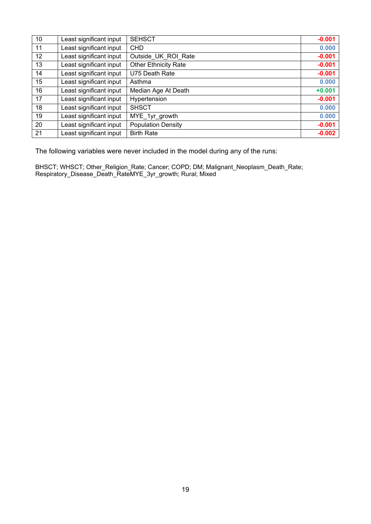| 10 | Least significant input | <b>SEHSCT</b>               | $-0.001$ |
|----|-------------------------|-----------------------------|----------|
| 11 | Least significant input | <b>CHD</b>                  | 0.000    |
| 12 | Least significant input | Outside UK ROI Rate         | $-0.001$ |
| 13 | Least significant input | <b>Other Ethnicity Rate</b> | $-0.001$ |
| 14 | Least significant input | U75 Death Rate              | $-0.001$ |
| 15 | Least significant input | Asthma                      | 0.000    |
| 16 | Least significant input | Median Age At Death         | $+0.001$ |
| 17 | Least significant input | Hypertension                | $-0.001$ |
| 18 | Least significant input | <b>SHSCT</b>                | 0.000    |
| 19 | Least significant input | MYE_1yr_growth              | 0.000    |
| 20 | Least significant input | <b>Population Density</b>   | $-0.001$ |
| 21 | Least significant input | <b>Birth Rate</b>           | $-0.002$ |

The following variables were never included in the model during any of the runs:

BHSCT; WHSCT; Other\_Religion\_Rate; Cancer; COPD; DM; Malignant\_Neoplasm\_Death\_Rate; Respiratory\_Disease\_Death\_RateMYE\_3yr\_growth; Rural; Mixed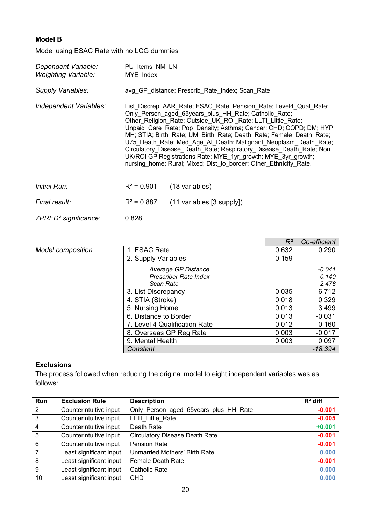### <span id="page-19-0"></span>**Model B**

Model using ESAC Rate with no LCG dummies

| Dependent Variable:<br>Weighting Variable: | PU Items NM LN<br>MYE Index                                                                                                                                                                                                                                                                                                                                                                                                                                                                                                                                                                                              |                                                 |  |
|--------------------------------------------|--------------------------------------------------------------------------------------------------------------------------------------------------------------------------------------------------------------------------------------------------------------------------------------------------------------------------------------------------------------------------------------------------------------------------------------------------------------------------------------------------------------------------------------------------------------------------------------------------------------------------|-------------------------------------------------|--|
| Supply Variables:                          |                                                                                                                                                                                                                                                                                                                                                                                                                                                                                                                                                                                                                          | avg GP distance; Prescrib Rate Index; Scan Rate |  |
| Independent Variables:                     | List_Discrep; AAR_Rate; ESAC_Rate; Pension_Rate; Level4_Qual_Rate;<br>Only Person aged 65years plus HH Rate; Catholic Rate;<br>Other Religion Rate; Outside UK_ROI_Rate; LLTI_Little_Rate;<br>Unpaid Care Rate; Pop Density; Asthma; Cancer; CHD; COPD; DM; HYP;<br>MH; STIA; Birth Rate; UM Birth Rate; Death Rate; Female Death Rate;<br>U75 Death Rate; Med Age At Death; Malignant Neoplasm Death Rate;<br>Circulatory Disease Death Rate; Respiratory Disease Death Rate; Non<br>UK/ROI GP Registrations Rate; MYE 1yr growth; MYE 3yr growth;<br>nursing home; Rural; Mixed; Dist to border; Other Ethnicity Rate. |                                                 |  |
| <i>Initial Run:</i>                        | $R^2$ = 0.901                                                                                                                                                                                                                                                                                                                                                                                                                                                                                                                                                                                                            | (18 variables)                                  |  |
| Final result:                              | $R^2 = 0.887$                                                                                                                                                                                                                                                                                                                                                                                                                                                                                                                                                                                                            | $(11$ variables $[3$ supply])                   |  |
| ZPRED <sup>2</sup> significance:           | 0.828                                                                                                                                                                                                                                                                                                                                                                                                                                                                                                                                                                                                                    |                                                 |  |

|                          |                               | $R^2$ | Co-efficient |
|--------------------------|-------------------------------|-------|--------------|
| <b>Model composition</b> | 1. ESAC Rate                  | 0.632 | 0.290        |
|                          | 2. Supply Variables           | 0.159 |              |
|                          | Average GP Distance           |       | $-0.041$     |
|                          | Prescriber Rate Index         |       | 0.140        |
|                          | Scan Rate                     |       | 2.478        |
|                          | 3. List Discrepancy           |       | 6.712        |
|                          | 4. STIA (Stroke)              | 0.018 | 0.329        |
|                          | 5. Nursing Home               |       | 3.499        |
|                          | 6. Distance to Border         | 0.013 | $-0.031$     |
|                          | 7. Level 4 Qualification Rate | 0.012 | $-0.160$     |
|                          | 8. Overseas GP Reg Rate       | 0.003 | $-0.017$     |
|                          | 9. Mental Health              | 0.003 | 0.097        |
|                          | Constant                      |       | $-18.394$    |

#### **Exclusions**

The process followed when reducing the original model to eight independent variables was as follows:

| Run            | <b>Exclusion Rule</b>   | <b>Description</b>                    | $R2$ diff |
|----------------|-------------------------|---------------------------------------|-----------|
| $\overline{2}$ | Counterintuitive input  | Only Person aged 65years plus HH Rate | $-0.001$  |
| $\overline{3}$ | Counterintuitive input  | LLTI Little Rate                      | $-0.005$  |
| $\overline{4}$ | Counterintuitive input  | Death Rate                            | $+0.001$  |
| $\overline{5}$ | Counterintuitive input  | <b>Circulatory Disease Death Rate</b> | $-0.001$  |
| 6              | Counterintuitive input  | <b>Pension Rate</b>                   | $-0.001$  |
| $\overline{7}$ | Least significant input | Unmarried Mothers' Birth Rate         | 0.000     |
| $\overline{8}$ | Least significant input | <b>Female Death Rate</b>              | $-0.001$  |
| $\overline{9}$ | Least significant input | <b>Catholic Rate</b>                  | 0.000     |
| 10             | Least significant input | <b>CHD</b>                            | 0.000     |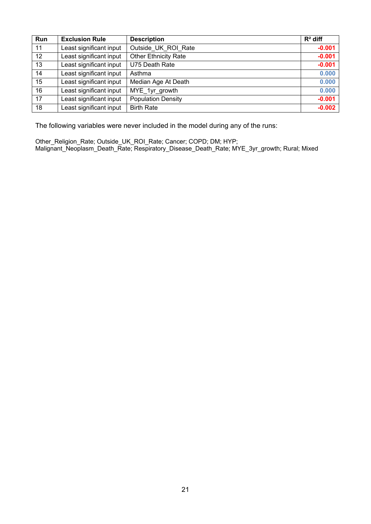| Run             | <b>Exclusion Rule</b>   | <b>Description</b>          | $R^2$ diff |
|-----------------|-------------------------|-----------------------------|------------|
| 11              | Least significant input | Outside UK ROI Rate         | $-0.001$   |
| 12 <sup>2</sup> | Least significant input | <b>Other Ethnicity Rate</b> | $-0.001$   |
| 13              | Least significant input | U75 Death Rate              | $-0.001$   |
| 14              | Least significant input | Asthma                      | 0.000      |
| 15              | Least significant input | Median Age At Death         | 0.000      |
| 16              | Least significant input | MYE 1yr growth              | 0.000      |
| 17              | Least significant input | <b>Population Density</b>   | $-0.001$   |
| 18              | Least significant input | <b>Birth Rate</b>           | $-0.002$   |

The following variables were never included in the model during any of the runs:

Other\_Religion\_Rate; Outside\_UK\_ROI\_Rate; Cancer; COPD; DM; HYP; Malignant\_Neoplasm\_Death\_Rate; Respiratory\_Disease\_Death\_Rate; MYE\_3yr\_growth; Rural; Mixed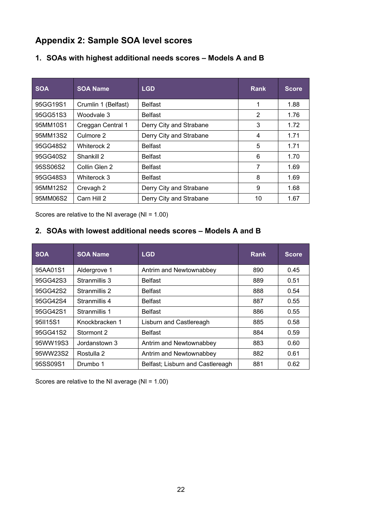## <span id="page-21-0"></span>**Appendix 2: Sample SOA level scores**

| <b>SOA</b> | <b>SOA Name</b>     | <b>LGD</b>              | <b>Rank</b> | <b>Score</b> |
|------------|---------------------|-------------------------|-------------|--------------|
| 95GG19S1   | Crumlin 1 (Belfast) | <b>Belfast</b>          | 1           | 1.88         |
| 95GG51S3   | Woodvale 3          | <b>Belfast</b>          | 2           | 1.76         |
| 95MM10S1   | Creggan Central 1   | Derry City and Strabane | 3           | 1.72         |
| 95MM13S2   | Culmore 2           | Derry City and Strabane | 4           | 1.71         |
| 95GG48S2   | Whiterock 2         | <b>Belfast</b>          | 5           | 1.71         |
| 95GG40S2   | Shankill 2          | <b>Belfast</b>          | 6           | 1.70         |
| 95SS06S2   | Collin Glen 2       | <b>Belfast</b>          | 7           | 1.69         |
| 95GG48S3   | Whiterock 3         | <b>Belfast</b>          | 8           | 1.69         |
| 95MM12S2   | Crevagh 2           | Derry City and Strabane | 9           | 1.68         |
| 95MM06S2   | Carn Hill 2         | Derry City and Strabane | 10          | 1.67         |

### **1. SOAs with highest additional needs scores – Models A and B**

Scores are relative to the NI average (NI = 1.00)

## **2. SOAs with lowest additional needs scores – Models A and B**

| <b>SOA</b> | <b>SOA Name</b> | <b>LGD</b>                       | Rank | <b>Score</b> |
|------------|-----------------|----------------------------------|------|--------------|
| 95AA01S1   | Aldergrove 1    | Antrim and Newtownabbey          | 890  | 0.45         |
| 95GG42S3   | Stranmillis 3   | <b>Belfast</b>                   | 889  | 0.51         |
| 95GG42S2   | Stranmillis 2   | <b>Belfast</b>                   | 888  | 0.54         |
| 95GG42S4   | Stranmillis 4   | <b>Belfast</b>                   | 887  | 0.55         |
| 95GG42S1   | Stranmillis 1   | <b>Belfast</b>                   | 886  | 0.55         |
| 95II15S1   | Knockbracken 1  | Lisburn and Castlereagh          | 885  | 0.58         |
| 95GG41S2   | Stormont 2      | <b>Belfast</b>                   | 884  | 0.59         |
| 95WW19S3   | Jordanstown 3   | Antrim and Newtownabbey          | 883  | 0.60         |
| 95WW23S2   | Rostulla 2      | Antrim and Newtownabbey          | 882  | 0.61         |
| 95SS09S1   | Drumbo 1        | Belfast; Lisburn and Castlereagh | 881  | 0.62         |

Scores are relative to the NI average (NI = 1.00)